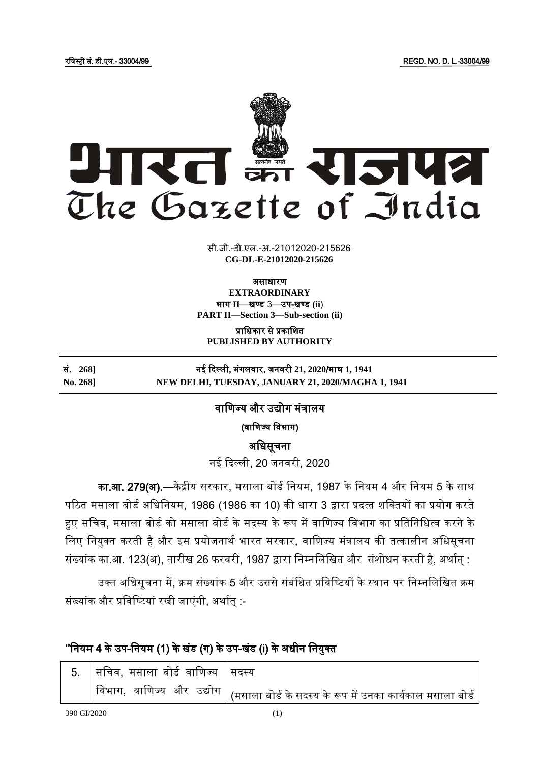

सी.जी.-डी.एल.-अ.-21012020-215626 **xxxGIDExxx CG-DL-E-21012020-215626**

असाधारण

**EXTRAORDINARY** भाग II-खण्ड 3-उप-खण्ड (ii) **PART II—Section 3—Sub-section (ii)**

प्राजधकार से प्रकाजित **PUBLISHED BY AUTHORITY**

### सं. **268]** नई ददल्ली, मंगलवार, िनवरी **21, 2020**/माघ **1, 1941 No. 268] NEW DELHI, TUESDAY, JANUARY 21, 2020/MAGHA 1, 1941**

# वाणिज्य और उद्योग मंत्रालय

(वाणिज्य विभाग)

अजधसूचना

नई दिल्ली. 20 जनवरी. 2020

<mark>का.आ. 279(अ).</mark>—केंद्रीय सरकार, मसाला बोर्ड नियम, 1987 के नियम 4 और नियम 5 के साथ पठित मसाला बोर्ड अधिनियम, 1986 (1986 का 10) की धारा 3 द्वारा प्रदत्त शक्तियों का प्रयोग करते हुए सचिव, मसाला बोर्ड को मसाला बोर्ड के सदस्य के रूप में वाणिज्य विभाग का प्रतिनिधित्व करने के लिए नियुक्त करती है और इस प्रयोजनार्थ भारत सरकार, वाणिज्य मंत्रालय की तत्कालीन अधिसूचना संख्यांक का.आ. 123(अ), तारीख 26 फरवरी, 1987 द्वारा निम्नलिखित और संशोधन करती है, अर्थात् :

उक्त अधिसूचना में, क्रम संख्यांक 5 और उससे संबंधित प्रविष्टियों के स्थान पर निम्नलिखित क्रम संख्यांक और प्रविष्टियां रखी जाएंगी, अर्थात :-

# ''नियम 4 के उप-नियम (1) के खंड (ग) के उप-खंड (i) के अधीन नियुक्त

| 5. सचिव, मसाला बोर्ड वाणिज्य $ $ सदस्य |                                                                                                              |
|----------------------------------------|--------------------------------------------------------------------------------------------------------------|
|                                        | विभाग,  वाणिज्य  और  उद्योग   <sub>(</sub> मसाला बोर्ड के सदस्य के रूप में उनका का <u>र्यकाल मसाला बोर्ड</u> |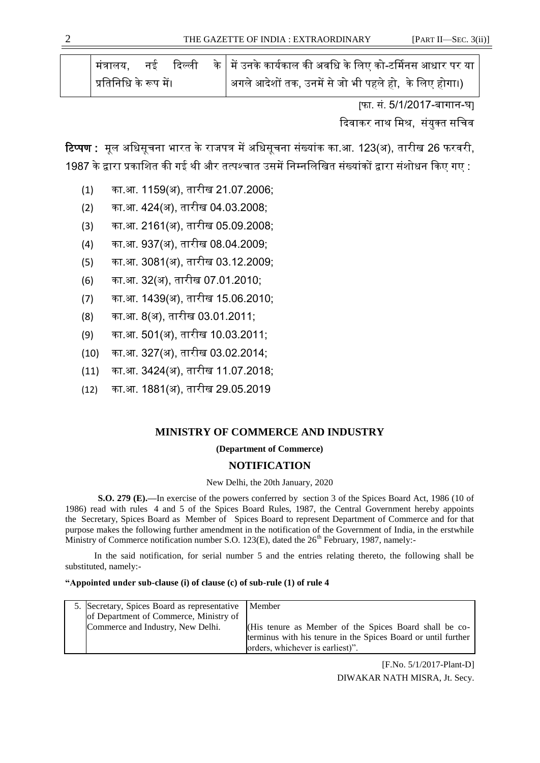| <u> </u> मंत्रालय.             |  |                                                        |
|--------------------------------|--|--------------------------------------------------------|
| <u> </u> प्रतिनिधि के रूप में। |  | अगले आदेशों तक, उनमें से जो भी पहले हो,  के लिए होगा।) |

[फा. सं. 5/1/2017-बागान-घ]

दिवाकर नाथ मिश्र, संयुक्त सचिव

<mark>टिप्पण :</mark> मल अधिसचना भारत के राजपत्र में अधिसचना संख्यांक का.आ. 123(अ), तारीख 26 फरवरी, 1987 के द्वारा प्रकाशित की गई थी और तत्पश्चात उसमें निम्नलिखित संख्यांकों द्वारा संशोधन किए गए :

- (1) का.आ. 1159(अ), तारीख 21.07.2006;
- (2) का.आ. 424(अ), तारीख 04.03.2008;
- (3) का.आ. 2161(अ), तारीख 05.09.2008;
- (4) का.आ. 937(अ), तारीख 08.04.2009;
- (5) का.आ. 3081(अ), तारीख 03.12.2009;
- (6) का.आ. 32(अ), तारीख 07.01.2010;
- (7) का.आ. 1439(अ), तारीख 15.06.2010;
- (8) का.आ. 8(अ), तारीख 03.01.2011;
- (9) का.आ. 501(अ), तारीख 10.03.2011;
- (10) का.आ. 327(अ), तारीख 03.02.2014;
- (11) का.आ. 3424(अ), तारीख 11.07.2018;
- (12) का.आ. 1881(अ), तारीख 29.05.2019

# **MINISTRY OF COMMERCE AND INDUSTRY**

**(Department of Commerce)**

# **NOTIFICATION**

New Delhi, the 20th January, 2020

**S.O. 279 (E).—**In exercise of the powers conferred by section 3 of the Spices Board Act, 1986 (10 of 1986) read with rules 4 and 5 of the Spices Board Rules, 1987, the Central Government hereby appoints the Secretary, Spices Board as Member of Spices Board to represent Department of Commerce and for that purpose makes the following further amendment in the notification of the Government of India, in the erstwhile Ministry of Commerce notification number S.O. 123(E), dated the  $26<sup>th</sup>$  February, 1987, namely:-

 In the said notification, for serial number 5 and the entries relating thereto, the following shall be substituted, namely:-

#### **"Appointed under sub-clause (i) of clause (c) of sub-rule (1) of rule 4**

| 5. Secretary, Spices Board as representative Member |                                                               |
|-----------------------------------------------------|---------------------------------------------------------------|
| of Department of Commerce, Ministry of              |                                                               |
| Commerce and Industry, New Delhi.                   | (His tenure as Member of the Spices Board shall be co-        |
|                                                     | terminus with his tenure in the Spices Board or until further |
|                                                     | orders, whichever is earliest)".                              |

[F.No. 5/1/2017-Plant-D] DIWAKAR NATH MISRA, Jt. Secy.